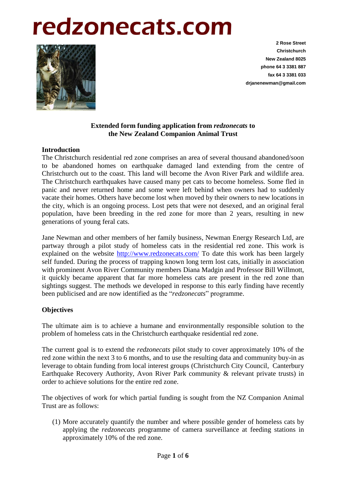# redzonecats.com



**2 Rose Street Christchurch New Zealand 8025 phone 64 3 3381 887 fax 64 3 3381 033 drjanenewman@gmail.com**

# **Extended form funding application from** *redzonecats* **to the New Zealand Companion Animal Trust**

#### **Introduction**

The Christchurch residential red zone comprises an area of several thousand abandoned/soon to be abandoned homes on earthquake damaged land extending from the centre of Christchurch out to the coast. This land will become the Avon River Park and wildlife area. The Christchurch earthquakes have caused many pet cats to become homeless. Some fled in panic and never returned home and some were left behind when owners had to suddenly vacate their homes. Others have become lost when moved by their owners to new locations in the city, which is an ongoing process. Lost pets that were not desexed, and an original feral population, have been breeding in the red zone for more than 2 years, resulting in new generations of young feral cats.

Jane Newman and other members of her family business, Newman Energy Research Ltd, are partway through a pilot study of homeless cats in the residential red zone. This work is explained on the website <http://www.redzonecats.com/> To date this work has been largely self funded. During the process of trapping known long term lost cats, initially in association with prominent Avon River Community members Diana Madgin and Professor Bill Willmott, it quickly became apparent that far more homeless cats are present in the red zone than sightings suggest. The methods we developed in response to this early finding have recently been publicised and are now identified as the "*redzonecats*" programme.

# **Objectives**

The ultimate aim is to achieve a humane and environmentally responsible solution to the problem of homeless cats in the Christchurch earthquake residential red zone.

The current goal is to extend the *redzonecats* pilot study to cover approximately 10% of the red zone within the next 3 to 6 months, and to use the resulting data and community buy-in as leverage to obtain funding from local interest groups (Christchurch City Council, Canterbury Earthquake Recovery Authority, Avon River Park community & relevant private trusts) in order to achieve solutions for the entire red zone.

The objectives of work for which partial funding is sought from the NZ Companion Animal Trust are as follows:

(1) More accurately quantify the number and where possible gender of homeless cats by applying the *redzonecats* programme of camera surveillance at feeding stations in approximately 10% of the red zone.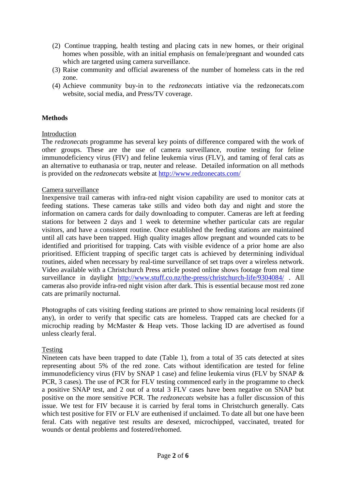- (2) Continue trapping, health testing and placing cats in new homes, or their original homes when possible, with an initial emphasis on female/pregnant and wounded cats which are targeted using camera surveillance.
- (3) Raise community and official awareness of the number of homeless cats in the red zone.
- (4) Achieve community buy-in to the *redzonecats* intiative via the redzonecats.com website, social media, and Press/TV coverage.

# **Methods**

# Introduction

The *redzonecats* programme has several key points of difference compared with the work of other groups. These are the use of camera surveillance, routine testing for feline immunodeficiency virus (FIV) and feline leukemia virus (FLV), and taming of feral cats as an alternative to euthanasia or trap, neuter and release. Detailed information on all methods is provided on the *redzonecats* website at<http://www.redzonecats.com/>

# Camera surveillance

Inexpensive trail cameras with infra-red night vision capability are used to monitor cats at feeding stations. These cameras take stills and video both day and night and store the information on camera cards for daily downloading to computer. Cameras are left at feeding stations for between 2 days and 1 week to determine whether particular cats are regular visitors, and have a consistent routine. Once established the feeding stations are maintained until all cats have been trapped. High quality images allow pregnant and wounded cats to be identified and prioritised for trapping. Cats with visible evidence of a prior home are also prioritised. Efficient trapping of specific target cats is achieved by determining individual routines, aided when necessary by real-time surveillance of set traps over a wireless network. Video available with a Christchurch Press article posted online shows footage from real time surveillance in daylight <http://www.stuff.co.nz/the-press/christchurch-life/9304084/> . All cameras also provide infra-red night vision after dark. This is essential because most red zone cats are primarily nocturnal.

Photographs of cats visiting feeding stations are printed to show remaining local residents (if any), in order to verify that specific cats are homeless. Trapped cats are checked for a microchip reading by McMaster & Heap vets. Those lacking ID are advertised as found unless clearly feral.

# Testing

Nineteen cats have been trapped to date (Table 1), from a total of 35 cats detected at sites representing about 5% of the red zone. Cats without identification are tested for feline immunodeficiency virus (FIV by SNAP 1 case) and feline leukemia virus (FLV by SNAP & PCR, 3 cases). The use of PCR for FLV testing commenced early in the programme to check a positive SNAP test, and 2 out of a total 3 FLV cases have been negative on SNAP but positive on the more sensitive PCR. The *redzonecats* website has a fuller discussion of this issue. We test for FIV because it is carried by feral toms in Christchurch generally. Cats which test positive for FIV or FLV are euthenised if unclaimed. To date all but one have been feral. Cats with negative test results are desexed, microchipped, vaccinated, treated for wounds or dental problems and fostered/rehomed.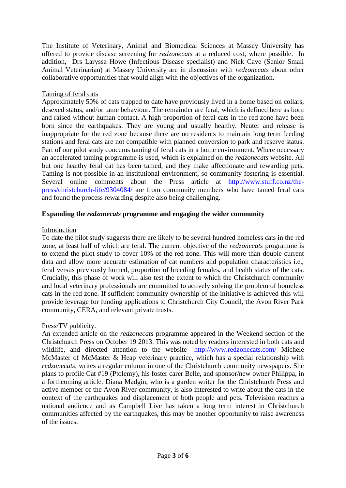The Institute of Veterinary, Animal and Biomedical Sciences at Massey University has offered to provide disease screening for *redzonecats* at a reduced cost, where possible. In addition, Drs Laryssa Howe (Infectious Disease specialist) and Nick Cave (Senior Small Animal Veterinarian) at Massey University are in discussion with *redzonecats* about other collaborative opportunities that would align with the objectives of the organization.

# Taming of feral cats

Approximately 50% of cats trapped to date have previously lived in a home based on collars, desexed status, and/or tame behaviour. The remainder are feral, which is defined here as born and raised without human contact. A high proportion of feral cats in the red zone have been born since the earthquakes. They are young and usually healthy. Neuter and release is inappropriate for the red zone because there are no residents to maintain long term feeding stations and feral cats are not compatible with planned conversion to park and reserve status. Part of our pilot study concerns taming of feral cats in a home environment. Where necessary an accelerated taming programme is used, which is explained on the *redzonecats* website. All but one healthy feral cat has been tamed, and they make affectionate and rewarding pets. Taming is not possible in an institutional environment, so community fostering is essential. Several online comments about the Press article at [http://www.stuff.co.nz/the](http://www.stuff.co.nz/the-press/christchurch-life/9304084/)[press/christchurch-life/9304084/](http://www.stuff.co.nz/the-press/christchurch-life/9304084/) are from community members who have tamed feral cats and found the process rewarding despite also being challenging.

# **Expanding the** *redzonecats* **programme and engaging the wider community**

#### Introduction

To date the pilot study suggests there are likely to be several hundred homeless cats in the red zone, at least half of which are feral. The current objective of the *redzonecats* programme is to extend the pilot study to cover 10% of the red zone. This will more than double current data and allow more accurate estimation of cat numbers and population characteristics i.e., feral versus previously homed, proportion of breeding females, and health status of the cats. Crucially, this phase of work will also test the extent to which the Christchurch community and local veterinary professionals are committed to actively solving the problem of homeless cats in the red zone. If sufficient community ownership of the initiative is achieved this will provide leverage for funding applications to Christchurch City Council, the Avon River Park community, CERA, and relevant private trusts.

# Press/TV publicity.

An extended article on the *redzonecats* programme appeared in the Weekend section of the Christchurch Press on October 19 2013. This was noted by readers interested in both cats and wildlife, and directed attention to the website <http://www.redzonecats.com/> Michele McMaster of McMaster & Heap veterinary practice, which has a special relationship with *redzonecats*, writes a regular column in one of the Christchurch community newspapers. She plans to profile Cat #19 (Ptolemy), his foster carer Belle, and sponsor/new owner Philippa, in a forthcoming article. Diana Madgin, who is a garden writer for the Christchurch Press and active member of the Avon River community, is also interested to write about the cats in the context of the earthquakes and displacement of both people and pets. Television reaches a national audience and as Campbell Live has taken a long term interest in Christchurch communities affected by the earthquakes, this may be another opportunity to raise awareness of the issues.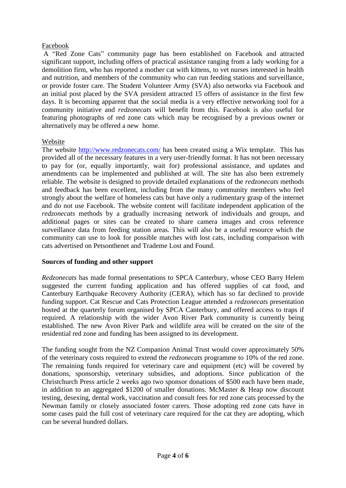# Facebook

A "Red Zone Cats" community page has been established on Facebook and attracted significant support, including offers of practical assistance ranging from a lady working for a demolition firm, who has reported a mother cat with kittens, to vet nurses interested in health and nutrition, and members of the community who can run feeding stations and surveillance, or provide foster care. The Student Volunteer Army (SVA) also networks via Facebook and an initial post placed by the SVA president attracted 15 offers of assistance in the first few days. It is becoming apparent that the social media is a very effective networking tool for a community initiative and *redzonecats* will benefit from this. Facebook is also useful for featuring photographs of red zone cats which may be recognised by a previous owner or alternatively may be offered a new home.

#### Website

The website<http://www.redzonecats.com/> has been created using a Wix template. This has provided all of the necessary features in a very user-friendly format. It has not been necessary to pay for (or, equally importantly, wait for) professional assistance, and updates and amendments can be implemented and published at will. The site has also been extremely reliable. The website is designed to provide detailed explanations of the *redzonecats* methods and feedback has been excellent, including from the many community members who feel strongly about the welfare of homeless cats but have only a rudimentary grasp of the internet and do not use Facebook. The website content will facilitate independent application of the *redzonecats* methods by a gradually increasing network of individuals and groups, and additional pages or sites can be created to share camera images and cross reference surveillance data from feeding station areas. This will also be a useful resource which the community can use to look for possible matches with lost cats, including comparison with cats advertised on Petsonthenet and Trademe Lost and Found.

# **Sources of funding and other support**

*Redzonecats* has made formal presentations to SPCA Canterbury, whose CEO Barry Helem suggested the current funding application and has offered supplies of cat food, and Canterbury Earthquake Recovery Authority (CERA), which has so far declined to provide funding support. Cat Rescue and Cats Protection League attended a *redzonecats* presentation hosted at the quarterly forum organised by SPCA Canterbury, and offered access to traps if required. A relationship with the wider Avon River Park community is currently being established. The new Avon River Park and wildlife area will be created on the site of the residential red zone and funding has been assigned to its development.

The funding sought from the NZ Companion Animal Trust would cover approximately 50% of the veterinary costs required to extend the *redzonecats* programme to 10% of the red zone. The remaining funds required for veterinary care and equipment (etc) will be covered by donations, sponsorship, veterinary subsidies, and adoptions. Since publication of the Christchurch Press article 2 weeks ago two sponsor donations of \$500 each have been made, in addition to an aggregated \$1200 of smaller donations. McMaster & Heap now discount testing, desexing, dental work, vaccination and consult fees for red zone cats processed by the Newman family or closely associated foster carers. Those adopting red zone cats have in some cases paid the full cost of veterinary care required for the cat they are adopting, which can be several hundred dollars.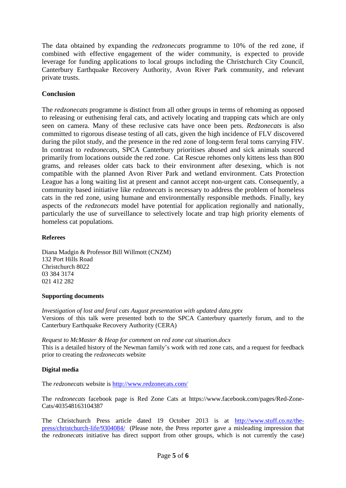The data obtained by expanding the *redzonecats* programme to 10% of the red zone, if combined with effective engagement of the wider community, is expected to provide leverage for funding applications to local groups including the Christchurch City Council, Canterbury Earthquake Recovery Authority, Avon River Park community, and relevant private trusts.

# **Conclusion**

The *redzonecats* programme is distinct from all other groups in terms of rehoming as opposed to releasing or euthenising feral cats, and actively locating and trapping cats which are only seen on camera. Many of these reclusive cats have once been pets. *Redzonecats* is also committed to rigorous disease testing of all cats, given the high incidence of FLV discovered during the pilot study, and the presence in the red zone of long-term feral toms carrying FIV. In contrast to *redzonecats*, SPCA Canterbury prioritises abused and sick animals sourced primarily from locations outside the red zone. Cat Rescue rehomes only kittens less than 800 grams, and releases older cats back to their environment after desexing, which is not compatible with the planned Avon River Park and wetland environment. Cats Protection League has a long waiting list at present and cannot accept non-urgent cats. Consequently, a community based initiative like *redzonecats* is necessary to address the problem of homeless cats in the red zone, using humane and environmentally responsible methods. Finally, key aspects of the *redzonecats* model have potential for application regionally and nationally, particularly the use of surveillance to selectively locate and trap high priority elements of homeless cat populations.

#### **Referees**

Diana Madgin & Professor Bill Willmott (CNZM) 132 Port Hills Road Christchurch 8022 03 384 3174 021 412 282

#### **Supporting documents**

*Investigation of lost and feral cats August presentation with updated data.pptx* Versions of this talk were presented both to the SPCA Canterbury quarterly forum, and to the Canterbury Earthquake Recovery Authority (CERA)

*Request to McMaster & Heap for comment on red zone cat situation.docx* This is a detailed history of the Newman family's work with red zone cats, and a request for feedback prior to creating the *redzonecats* website

#### **Digital media**

The *redzonecats* website is<http://www.redzonecats.com/>

The *redzonecats* facebook page is Red Zone Cats at https://www.facebook.com/pages/Red-Zone-Cats/403548163104387

The Christchurch Press article dated 19 October 2013 is at [http://www.stuff.co.nz/the](http://www.stuff.co.nz/the-press/christchurch-life/9304084/)[press/christchurch-life/9304084/](http://www.stuff.co.nz/the-press/christchurch-life/9304084/) (Please note, the Press reporter gave a misleading impression that the *redzonecats* initiative has direct support from other groups, which is not currently the case)